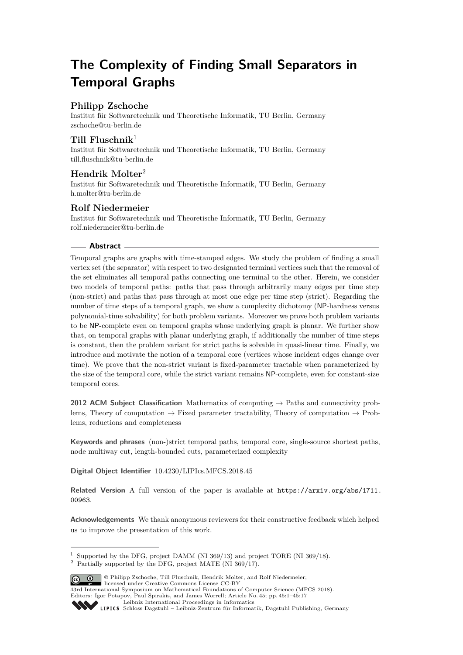# **The Complexity of Finding Small Separators in Temporal Graphs**

# **Philipp Zschoche**

Institut für Softwaretechnik und Theoretische Informatik, TU Berlin, Germany [zschoche@tu-berlin.de](mailto:zschoche@tu-berlin.de)

# **Till Fluschnik**<sup>1</sup>

Institut für Softwaretechnik und Theoretische Informatik, TU Berlin, Germany [till.fluschnik@tu-berlin.de](mailto:till.fluschnik@tu-berlin.de)

# **Hendrik Molter**<sup>2</sup>

Institut für Softwaretechnik und Theoretische Informatik, TU Berlin, Germany [h.molter@tu-berlin.de](mailto:h.molter@tu-berlin.de)

# **Rolf Niedermeier**

Institut für Softwaretechnik und Theoretische Informatik, TU Berlin, Germany [rolf.niedermeier@tu-berlin.de](mailto:rolf.niedermeier@tu-berlin.de)

### **Abstract**

Temporal graphs are graphs with time-stamped edges. We study the problem of finding a small vertex set (the separator) with respect to two designated terminal vertices such that the removal of the set eliminates all temporal paths connecting one terminal to the other. Herein, we consider two models of temporal paths: paths that pass through arbitrarily many edges per time step (non-strict) and paths that pass through at most one edge per time step (strict). Regarding the number of time steps of a temporal graph, we show a complexity dichotomy (NP-hardness versus polynomial-time solvability) for both problem variants. Moreover we prove both problem variants to be NP-complete even on temporal graphs whose underlying graph is planar. We further show that, on temporal graphs with planar underlying graph, if additionally the number of time steps is constant, then the problem variant for strict paths is solvable in quasi-linear time. Finally, we introduce and motivate the notion of a temporal core (vertices whose incident edges change over time). We prove that the non-strict variant is fixed-parameter tractable when parameterized by the size of the temporal core, while the strict variant remains NP-complete, even for constant-size temporal cores.

**2012 ACM Subject Classification** Mathematics of computing → Paths and connectivity problems, Theory of computation  $\rightarrow$  Fixed parameter tractability, Theory of computation  $\rightarrow$  Problems, reductions and completeness

**Keywords and phrases** (non-)strict temporal paths, temporal core, single-source shortest paths, node multiway cut, length-bounded cuts, parameterized complexity

**Digital Object Identifier** [10.4230/LIPIcs.MFCS.2018.45](http://dx.doi.org/10.4230/LIPIcs.MFCS.2018.45)

**Related Version** A full version of the paper is available at [https://arxiv.org/abs/1711.](https://arxiv.org/abs/1711.00963) [00963](https://arxiv.org/abs/1711.00963).

**Acknowledgements** We thank anonymous reviewers for their constructive feedback which helped us to improve the presentation of this work.

 $2$  Partially supported by the DFG, project MATE (NI 369/17).



© Philipp Zschoche, Till Fluschnik, Hendrik Molter, and Rolf Niedermeier; licensed under Creative Commons License CC-BY

43rd International Symposium on Mathematical Foundations of Computer Science (MFCS 2018).

 $1$  Supported by the DFG, project DAMM (NI 369/13) and project TORE (NI 369/18).

Editors: Igor Potapov, Paul Spirakis, and James Worrell; Article No. 45; pp. 45:1–45[:17](#page-16-0) [Leibniz International Proceedings in Informatics](http://www.dagstuhl.de/lipics/)

[Schloss Dagstuhl – Leibniz-Zentrum für Informatik, Dagstuhl Publishing, Germany](http://www.dagstuhl.de)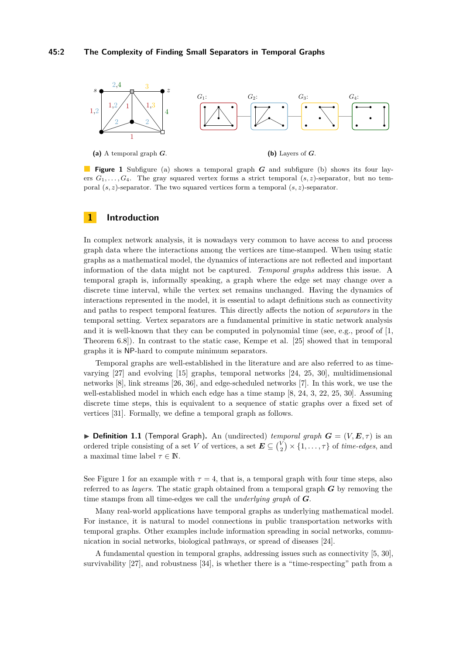<span id="page-1-0"></span>

**Figure 1** Subfigure (a) shows a temporal graph *G* and subfigure (b) shows its four layers  $G_1, \ldots, G_4$ . The gray squared vertex forms a strict temporal  $(s, z)$ -separator, but no temporal (*s, z*)-separator. The two squared vertices form a temporal (*s, z*)-separator.

## **1 Introduction**

In complex network analysis, it is nowadays very common to have access to and process graph data where the interactions among the vertices are time-stamped. When using static graphs as a mathematical model, the dynamics of interactions are not reflected and important information of the data might not be captured. *Temporal graphs* address this issue. A temporal graph is, informally speaking, a graph where the edge set may change over a discrete time interval, while the vertex set remains unchanged. Having the dynamics of interactions represented in the model, it is essential to adapt definitions such as connectivity and paths to respect temporal features. This directly affects the notion of *separators* in the temporal setting. Vertex separators are a fundamental primitive in static network analysis and it is well-known that they can be computed in polynomial time (see, e.g., proof of [\[1,](#page-14-0) Theorem 6.8]). In contrast to the static case, Kempe et al. [\[25\]](#page-15-0) showed that in temporal graphs it is NP-hard to compute minimum separators.

Temporal graphs are well-established in the literature and are also referred to as timevarying [\[27\]](#page-15-1) and evolving [\[15\]](#page-15-2) graphs, temporal networks [\[24,](#page-15-3) [25,](#page-15-0) [30\]](#page-15-4), multidimensional networks [\[8\]](#page-14-1), link streams [\[26,](#page-15-5) [36\]](#page-16-1), and edge-scheduled networks [\[7\]](#page-14-2). In this work, we use the well-established model in which each edge has a time stamp [\[8,](#page-14-1) [24,](#page-15-3) [3,](#page-14-3) [22,](#page-15-6) [25,](#page-15-0) [30\]](#page-15-4). Assuming discrete time steps, this is equivalent to a sequence of static graphs over a fixed set of vertices [\[31\]](#page-15-7). Formally, we define a temporal graph as follows.

 $\triangleright$  **Definition 1.1** (Temporal Graph). An (undirected) *temporal graph*  $G = (V, E, \tau)$  is an ordered triple consisting of a set *V* of vertices, a set  $\mathbf{E} \subseteq {V \choose 2} \times \{1, \ldots, \tau\}$  of *time-edges*, and a maximal time label  $\tau \in \mathbb{N}$ .

See [Figure 1](#page-1-0) for an example with  $\tau = 4$ , that is, a temporal graph with four time steps, also referred to as *layers*. The static graph obtained from a temporal graph *G* by removing the time stamps from all time-edges we call the *underlying graph* of *G*.

Many real-world applications have temporal graphs as underlying mathematical model. For instance, it is natural to model connections in public transportation networks with temporal graphs. Other examples include information spreading in social networks, communication in social networks, biological pathways, or spread of diseases [\[24\]](#page-15-3).

A fundamental question in temporal graphs, addressing issues such as connectivity [\[5,](#page-14-4) [30\]](#page-15-4), survivability [\[27\]](#page-15-1), and robustness [\[34\]](#page-16-2), is whether there is a "time-respecting" path from a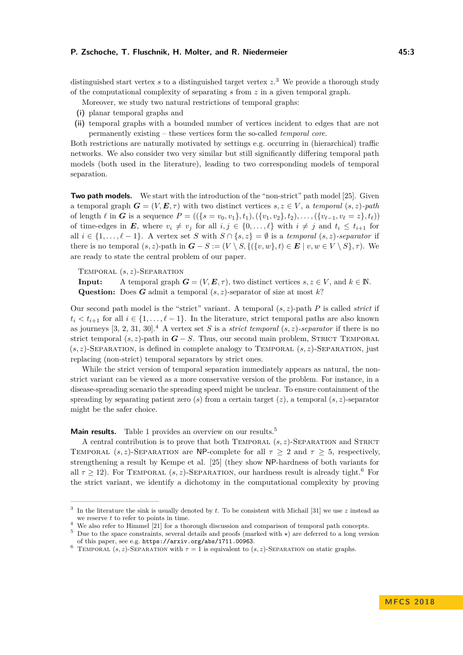distinguished start vertex *s* to a distinguished target vertex *z*. [3](#page-2-0) We provide a thorough study of the computational complexity of separating *s* from *z* in a given temporal graph.

Moreover, we study two natural restrictions of temporal graphs:

- **(i)** planar temporal graphs and
- **(ii)** temporal graphs with a bounded number of vertices incident to edges that are not permanently existing – these vertices form the so-called *temporal core*.

Both restrictions are naturally motivated by settings e.g. occurring in (hierarchical) traffic networks. We also consider two very similar but still significantly differing temporal path models (both used in the literature), leading to two corresponding models of temporal separation.

**Two path models.** We start with the introduction of the "non-strict" path model [\[25\]](#page-15-0). Given a temporal graph  $G = (V, E, \tau)$  with two distinct vertices  $s, z \in V$ , a *temporal*  $(s, z)$ -path of length  $\ell$  in  $G$  is a sequence  $P = ((\{s = v_0, v_1\}, t_1), (\{v_1, v_2\}, t_2), \ldots, (\{v_{\ell-1}, v_{\ell} = z\}, t_{\ell}))$ of time-edges in *E*, where  $v_i \neq v_j$  for all  $i, j \in \{0, \ldots, \ell\}$  with  $i \neq j$  and  $t_i \leq t_{i+1}$  for all  $i \in \{1, \ldots, \ell-1\}$ . A vertex set *S* with  $S \cap \{s, z\} = \emptyset$  is a *temporal*  $(s, z)$ -separator if there is no temporal  $(s, z)$ -path in  $G - S := (V \setminus S, \{(\{v, w\}, t) \in E \mid v, w \in V \setminus S\}, \tau)$ . We are ready to state the central problem of our paper.

Temporal (*s, z*)-Separation

**Input:** A temporal graph  $G = (V, E, \tau)$ , two distinct vertices  $s, z \in V$ , and  $k \in \mathbb{N}$ . **Question:** Does *G* admit a temporal (*s, z*)-separator of size at most *k*?

Our second path model is the "strict" variant. A temporal (*s, z*)-path *P* is called *strict* if  $t_i < t_{i+1}$  for all  $i \in \{1, \ldots, \ell-1\}$ . In the literature, strict temporal paths are also known as journeys  $[3, 2, 31, 30]$  $[3, 2, 31, 30]$  $[3, 2, 31, 30]$  $[3, 2, 31, 30]$  $[3, 2, 31, 30]$  $[3, 2, 31, 30]$  $[3, 2, 31, 30]$ .<sup>[4](#page-2-1)</sup> A vertex set *S* is a *strict temporal*  $(s, z)$ *-separator* if there is no strict temporal  $(s, z)$ -path in  $G - S$ . Thus, our second main problem, STRICT TEMPORAL  $(s, z)$ -SEPARATION, is defined in complete analogy to TEMPORAL  $(s, z)$ -SEPARATION, just replacing (non-strict) temporal separators by strict ones.

While the strict version of temporal separation immediately appears as natural, the nonstrict variant can be viewed as a more conservative version of the problem. For instance, in a disease-spreading scenario the spreading speed might be unclear. To ensure containment of the spreading by separating patient zero (*s*) from a certain target (*z*), a temporal  $(s, z)$ -separator might be the safer choice.

**Main results.** [Table 1](#page-3-0) provides an overview on our results.<sup>[5](#page-2-2)</sup>

A central contribution is to prove that both Temporal (*s, z*)-Separation and Strict TEMPORAL  $(s, z)$ -SEPARATION are NP-complete for all  $\tau > 2$  and  $\tau > 5$ , respectively, strengthening a result by Kempe et al. [\[25\]](#page-15-0) (they show NP-hardness of both variants for all  $\tau \geq 12$ ). For TEMPORAL  $(s, z)$ -SEPARATION, our hardness result is already tight.<sup>[6](#page-2-3)</sup> For the strict variant, we identify a dichotomy in the computational complexity by proving

<span id="page-2-0"></span><sup>3</sup> In the literature the sink is usually denoted by *t*. To be consistent with Michail [\[31\]](#page-15-7) we use *z* instead as we reserve *t* to refer to points in time.

<span id="page-2-1"></span><sup>&</sup>lt;sup>4</sup> We also refer to Himmel [\[21\]](#page-15-8) for a thorough discussion and comparison of temporal path concepts.

<span id="page-2-2"></span> $5$  Due to the space constraints, several details and proofs (marked with  $\star$ ) are deferred to a long version of this paper, see e.g. <https://arxiv.org/abs/1711.00963>.

<span id="page-2-3"></span><sup>&</sup>lt;sup>6</sup> TEMPORAL  $(s, z)$ -SEPARATION with  $\tau = 1$  is equivalent to  $(s, z)$ -SEPARATION on static graphs.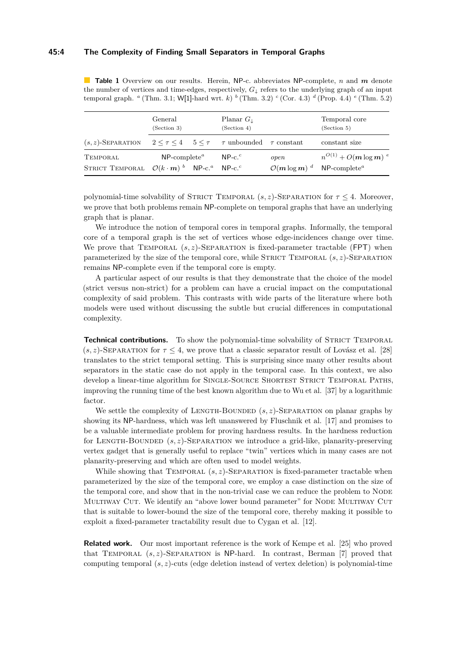#### **45:4 The Complexity of Finding Small Separators in Temporal Graphs**

<span id="page-3-0"></span>**Table 1** Overview on our results. Herein, NP-c. abbreviates NP-complete, *n* and *m* denote the number of vertices and time-edges, respectively, *G*<sup>↓</sup> refers to the underlying graph of an input temporal graph. *<sup>a</sup>* [\(Thm. 3.1;](#page-5-0) W[1]-hard wrt. *k*) *b* [\(Thm. 3.2\)](#page-6-0) *<sup>c</sup>* [\(Cor. 4.3\)](#page-10-0) *<sup>d</sup>* [\(Prop. 4.4\)](#page-11-0) *<sup>e</sup>* [\(Thm. 5.2\)](#page-12-0)

|                                                                                          | General<br>(Section 3)                                       |  | Planar $G_{\perp}$<br>(Section 4) |                                                    | Temporal core<br>(Section 5) |
|------------------------------------------------------------------------------------------|--------------------------------------------------------------|--|-----------------------------------|----------------------------------------------------|------------------------------|
| $(s, z)$ -SEPARATION $2 \leq \tau \leq 4$ $5 \leq \tau$ $\tau$ unbounded $\tau$ constant |                                                              |  |                                   |                                                    | constant size                |
| TEMPORAL                                                                                 | $NP$ -complete <sup><i>a</i></sup> NP-c. <sup><i>c</i></sup> |  |                                   | open                                               | $n^{O(1)} + O(m \log m)^{e}$ |
| STRICT TEMPORAL $\mathcal{O}(k \cdot m)^{b}$ NP-c. <sup>a</sup> NP-c. <sup>c</sup>       |                                                              |  |                                   | $\mathcal{O}(m \log m)^d$ NP-complete <sup>a</sup> |                              |

polynomial-time solvability of STRICT TEMPORAL  $(s, z)$ -SEPARATION for  $\tau \leq 4$ . Moreover, we prove that both problems remain NP-complete on temporal graphs that have an underlying graph that is planar.

We introduce the notion of temporal cores in temporal graphs. Informally, the temporal core of a temporal graph is the set of vertices whose edge-incidences change over time. We prove that TEMPORAL  $(s, z)$ -SEPARATION is fixed-parameter tractable (FPT) when parameterized by the size of the temporal core, while STRICT TEMPORAL  $(s, z)$ -SEPARATION remains NP-complete even if the temporal core is empty.

A particular aspect of our results is that they demonstrate that the choice of the model (strict versus non-strict) for a problem can have a crucial impact on the computational complexity of said problem. This contrasts with wide parts of the literature where both models were used without discussing the subtle but crucial differences in computational complexity.

**Technical contributions.** To show the polynomial-time solvability of STRICT TEMPORAL  $(s, z)$ -SEPARATION for  $\tau \leq 4$ , we prove that a classic separator result of Lovász et al. [\[28\]](#page-15-9) translates to the strict temporal setting. This is surprising since many other results about separators in the static case do not apply in the temporal case. In this context, we also develop a linear-time algorithm for SINGLE-SOURCE SHORTEST STRICT TEMPORAL PATHS, improving the running time of the best known algorithm due to Wu et al. [\[37\]](#page-16-3) by a logarithmic factor.

We settle the complexity of LENGTH-BOUNDED  $(s, z)$ -SEPARATION on planar graphs by showing its NP-hardness, which was left unanswered by Fluschnik et al. [\[17\]](#page-15-10) and promises to be a valuable intermediate problem for proving hardness results. In the hardness reduction for LENGTH-BOUNDED  $(s, z)$ -SEPARATION we introduce a grid-like, planarity-preserving vertex gadget that is generally useful to replace "twin" vertices which in many cases are not planarity-preserving and which are often used to model weights.

While showing that TEMPORAL  $(s, z)$ -SEPARATION is fixed-parameter tractable when parameterized by the size of the temporal core, we employ a case distinction on the size of the temporal core, and show that in the non-trivial case we can reduce the problem to NODE MULTIWAY CUT. We identify an "above lower bound parameter" for NODE MULTIWAY CUT that is suitable to lower-bound the size of the temporal core, thereby making it possible to exploit a fixed-parameter tractability result due to Cygan et al. [\[12\]](#page-15-11).

**Related work.** Our most important reference is the work of Kempe et al. [\[25\]](#page-15-0) who proved that Temporal (*s, z*)-Separation is NP-hard. In contrast, Berman [\[7\]](#page-14-2) proved that computing temporal (*s, z*)-cuts (edge deletion instead of vertex deletion) is polynomial-time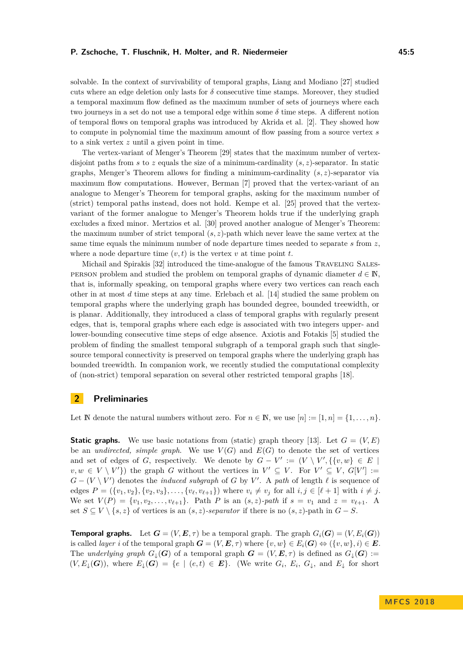solvable. In the context of survivability of temporal graphs, Liang and Modiano [\[27\]](#page-15-1) studied cuts where an edge deletion only lasts for  $\delta$  consecutive time stamps. Moreover, they studied a temporal maximum flow defined as the maximum number of sets of journeys where each two journeys in a set do not use a temporal edge within some  $\delta$  time steps. A different notion of temporal flows on temporal graphs was introduced by Akrida et al. [\[2\]](#page-14-5). They showed how to compute in polynomial time the maximum amount of flow passing from a source vertex *s* to a sink vertex *z* until a given point in time.

The vertex-variant of Menger's Theorem [\[29\]](#page-15-12) states that the maximum number of vertexdisjoint paths from *s* to *z* equals the size of a minimum-cardinality (*s, z*)-separator. In static graphs, Menger's Theorem allows for finding a minimum-cardinality (*s, z*)-separator via maximum flow computations. However, Berman [\[7\]](#page-14-2) proved that the vertex-variant of an analogue to Menger's Theorem for temporal graphs, asking for the maximum number of (strict) temporal paths instead, does not hold. Kempe et al. [\[25\]](#page-15-0) proved that the vertexvariant of the former analogue to Menger's Theorem holds true if the underlying graph excludes a fixed minor. Mertzios et al. [\[30\]](#page-15-4) proved another analogue of Menger's Theorem: the maximum number of strict temporal (*s, z*)-path which never leave the same vertex at the same time equals the minimum number of node departure times needed to separate *s* from *z*, where a node departure time  $(v, t)$  is the vertex  $v$  at time point  $t$ .

Michail and Spirakis [\[32\]](#page-15-13) introduced the time-analogue of the famous Traveling Salesperson problem and studied the problem on temporal graphs of dynamic diameter  $d \in \mathbb{N}$ , that is, informally speaking, on temporal graphs where every two vertices can reach each other in at most *d* time steps at any time. Erlebach et al. [\[14\]](#page-15-14) studied the same problem on temporal graphs where the underlying graph has bounded degree, bounded treewidth, or is planar. Additionally, they introduced a class of temporal graphs with regularly present edges, that is, temporal graphs where each edge is associated with two integers upper- and lower-bounding consecutive time steps of edge absence. Axiotis and Fotakis [\[5\]](#page-14-4) studied the problem of finding the smallest temporal subgraph of a temporal graph such that singlesource temporal connectivity is preserved on temporal graphs where the underlying graph has bounded treewidth. In companion work, we recently studied the computational complexity of (non-strict) temporal separation on several other restricted temporal graphs [\[18\]](#page-15-15).

### **2 Preliminaries**

Let N denote the natural numbers without zero. For  $n \in \mathbb{N}$ , we use  $[n] := [1, n] = \{1, \ldots, n\}$ .

**Static graphs.** We use basic notations from (static) graph theory [\[13\]](#page-15-16). Let  $G = (V, E)$ be an *undirected, simple graph*. We use  $V(G)$  and  $E(G)$  to denote the set of vertices and set of edges of *G*, respectively. We denote by  $G - V' := (V \setminus V', \{\{v, w\} \in E \mid \mathcal{E} \setminus \mathcal{E} \mid \mathcal{E} \setminus \mathcal{E} \setminus \mathcal{E} \setminus \mathcal{E} \setminus \mathcal{E} \setminus \mathcal{E} \setminus \mathcal{E} \setminus \mathcal{E} \setminus \mathcal{E} \setminus \mathcal{E} \setminus \mathcal{E} \setminus \mathcal{E} \setminus \mathcal{E} \setminus \mathcal{E} \setminus$  $v, w \in V \setminus V'$  the graph *G* without the vertices in  $V' \subseteq V$ . For  $V' \subseteq V$ ,  $G[V'] :=$  $G - (V \setminus V')$  denotes the *induced subgraph* of *G* by *V*'. A *path* of length  $\ell$  is sequence of edges  $P = (\{v_1, v_2\}, \{v_2, v_3\}, \dots, \{v_{\ell}, v_{\ell+1}\})$  where  $v_i \neq v_j$  for all  $i, j \in [\ell+1]$  with  $i \neq j$ . We set  $V(P) = \{v_1, v_2, \ldots, v_{\ell+1}\}.$  Path *P* is an  $(s, z)$ -path if  $s = v_1$  and  $z = v_{\ell+1}.$  A set *S* ⊆ *V* \ {*s, z*} of vertices is an  $(s, z)$ *-separator* if there is no  $(s, z)$ -path in *G* − *S*.

**Temporal graphs.** Let  $G = (V, E, \tau)$  be a temporal graph. The graph  $G_i(G) = (V, E_i(G))$ is called *layer i* of the temporal graph  $G = (V, E, \tau)$  where  $\{v, w\} \in E_i(G) \Leftrightarrow (\{v, w\}, i) \in E$ . The *underlying graph*  $G_{\downarrow}(G)$  of a temporal graph  $G = (V, E, \tau)$  is defined as  $G_{\downarrow}(G)$  :=  $(V, E_{\downarrow}(\mathbf{G}))$ , where  $E_{\downarrow}(\mathbf{G}) = \{e \mid (e, t) \in \mathbf{E}\}.$  (We write  $G_i$ ,  $E_i$ ,  $G_{\downarrow}$ , and  $E_{\downarrow}$  for short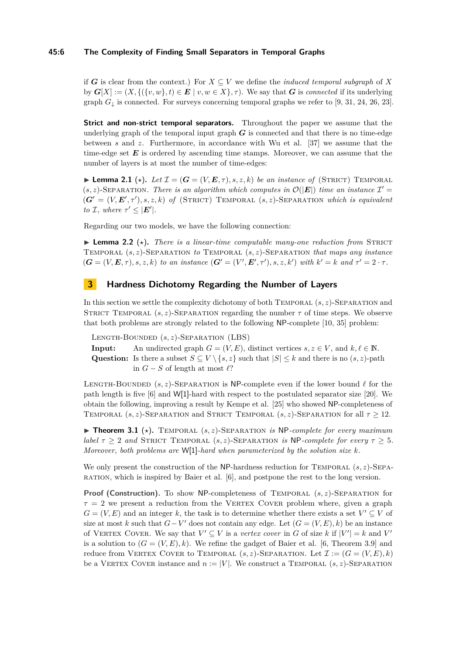### **45:6 The Complexity of Finding Small Separators in Temporal Graphs**

if *G* is clear from the context.) For  $X \subseteq V$  we define the *induced temporal subgraph* of X by  $G[X] := (X, \{(\{v, w\}, t) \in E \mid v, w \in X\}, \tau)$ . We say that *G* is *connected* if its underlying graph  $G_1$  is connected. For surveys concerning temporal graphs we refer to [\[9,](#page-14-6) [31,](#page-15-7) [24,](#page-15-3) [26,](#page-15-5) [23\]](#page-15-17).

**Strict and non-strict temporal separators.** Throughout the paper we assume that the underlying graph of the temporal input graph  $G$  is connected and that there is no time-edge between *s* and *z*. Furthermore, in accordance with Wu et al. [\[37\]](#page-16-3) we assume that the time-edge set *E* is ordered by ascending time stamps. Moreover, we can assume that the number of layers is at most the number of time-edges:

**I Lemma 2.1** ( $\star$ ). Let  $\mathcal{I} = (G = (V, E, \tau), s, z, k)$  be an instance of (STRICT) TEMPORAL  $(s, z)$ -SEPARATION. There is an algorithm which computes in  $\mathcal{O}(|E|)$  time an instance  $\mathcal{I}' =$  $(G' = (V, E', \tau'), s, z, k)$  of (STRICT) TEMPORAL  $(s, z)$ -SEPARATION *which is equivalent to*  $\mathcal{I}$ *, where*  $\tau' \leq |\mathbf{E}'|$ *.* 

<span id="page-5-2"></span>Regarding our two models, we have the following connection:

**Lemma 2.2** ( $\star$ ). There is a linear-time computable many-one reduction from STRICT Temporal (*s, z*)-Separation *to* Temporal (*s, z*)-Separation *that maps any instance*  $(G = (V, E, \tau), s, z, k)$  to an instance  $(G' = (V', E', \tau'), s, z, k')$  with  $k' = k$  and  $\tau' = 2 \cdot \tau$ .

# <span id="page-5-1"></span>**3 Hardness Dichotomy Regarding the Number of Layers**

In this section we settle the complexity dichotomy of both TEMPORAL  $(s, z)$ -SEPARATION and STRICT TEMPORAL  $(s, z)$ -SEPARATION regarding the number  $\tau$  of time steps. We observe that both problems are strongly related to the following NP-complete [\[10,](#page-14-7) [35\]](#page-16-4) problem:

Length-Bounded (*s, z*)-Separation (LBS) **Input:** An undirected graph  $G = (V, E)$ , distinct vertices  $s, z \in V$ , and  $k, \ell \in \mathbb{N}$ . Question: Is there a subset  $S \subseteq V \setminus \{s, z\}$  such that  $|S| \leq k$  and there is no  $(s, z)$ -path in  $G$  − *S* of length at most  $\ell$ ?

LENGTH-BOUNDED  $(s, z)$ -SEPARATION is NP-complete even if the lower bound  $\ell$  for the path length is five [\[6\]](#page-14-8) and W[1]-hard with respect to the postulated separator size [\[20\]](#page-15-18). We obtain the following, improving a result by Kempe et al. [\[25\]](#page-15-0) who showed NP-completeness of TEMPORAL  $(s, z)$ -SEPARATION and STRICT TEMPORAL  $(s, z)$ -SEPARATION for all  $\tau > 12$ .

<span id="page-5-0"></span> $\triangleright$  **Theorem 3.1** ( $\star$ ). TEMPORAL ( $s$ ,  $z$ )-SEPARATION *is* NP-complete for every maximum *label*  $\tau > 2$  *and* STRICT TEMPORAL  $(s, z)$ -SEPARATION *is* NP-*complete for every*  $\tau > 5$ *. Moreover, both problems are* W[1]*-hard when parameterized by the solution size k.*

We only present the construction of the NP-hardness reduction for TEMPORAL  $(s, z)$ -SEPAration, which is inspired by Baier et al. [\[6\]](#page-14-8), and postpone the rest to the long version.

**Proof (Construction).** To show NP-completeness of TEMPORAL  $(s, z)$ -SEPARATION for  $\tau = 2$  we present a reduction from the VERTEX COVER problem where, given a graph  $G = (V, E)$  and an integer *k*, the task is to determine whether there exists a set  $V' \subseteq V$  of size at most *k* such that  $G - V'$  does not contain any edge. Let  $(G = (V, E), k)$  be an instance of VERTEX COVER. We say that  $V' \subseteq V$  is a *vertex cover* in *G* of size *k* if  $|V'| = k$  and  $V'$ is a solution to  $(G = (V, E), k)$ . We refine the gadget of Baier et al. [\[6,](#page-14-8) Theorem 3.9] and reduce from VERTEX COVER to TEMPORAL  $(s, z)$ -SEPARATION. Let  $\mathcal{I} := (G = (V, E), k)$ be a VERTEX COVER instance and  $n := |V|$ . We construct a TEMPORAL  $(s, z)$ -SEPARATION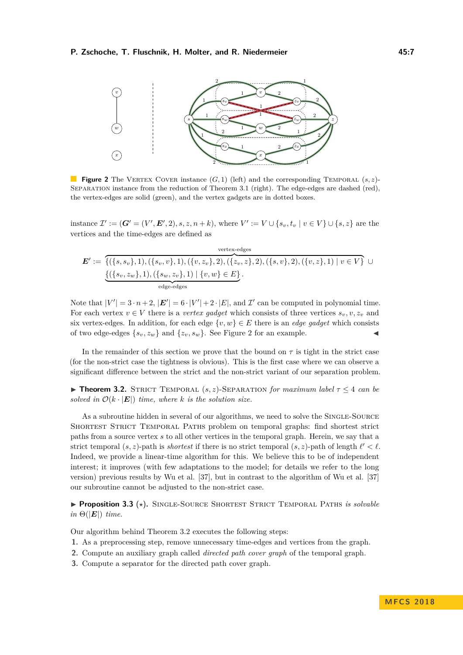<span id="page-6-1"></span>

**Figure 2** The VERTEX COVER instance  $(G, 1)$  (left) and the corresponding TEMPORAL  $(s, z)$ -SEPARATION instance from the reduction of [Theorem 3.1](#page-5-0) (right). The edge-edges are dashed (red), the vertex-edges are solid (green), and the vertex gadgets are in dotted boxes.

instance  $\mathcal{I}' := (\mathbf{G}' = (V', \mathbf{E}', 2), s, z, n + k)$ , where  $V' := V \cup \{s_v, t_v \mid v \in V\} \cup \{s, z\}$  are the vertices and the time-edges are defined as

$$
E' := \{ (\{s, s_v\}, 1), (\{s_v, v\}, 1), (\{v, z_v\}, 2), (\{z_v, z\}, 2), (\{s, v\}, 2), (\{v, z\}, 1) \mid v \in V \} \cup \{ (\{s_v, z_w\}, 1), (\{s_w, z_v\}, 1) \mid \{v, w\} \in E \}.
$$

Note that  $|V'| = 3 \cdot n + 2$ ,  $|E'| = 6 \cdot |V'| + 2 \cdot |E|$ , and  $\mathcal{I}'$  can be computed in polynomial time. For each vertex  $v \in V$  there is a *vertex gadget* which consists of three vertices  $s_v, v, z_v$  and six vertex-edges. In addition, for each edge  $\{v, w\} \in E$  there is an *edge gadget* which consists of two edge-edges  $\{s_v, z_w\}$  and  $\{z_v, s_w\}$ . See [Figure 2](#page-6-1) for an example.

In the remainder of this section we prove that the bound on  $\tau$  is tight in the strict case (for the non-strict case the tightness is obvious). This is the first case where we can observe a significant difference between the strict and the non-strict variant of our separation problem.

<span id="page-6-0"></span>**Theorem 3.2.** STRICT TEMPORAL  $(s, z)$ -SEPARATION *for maximum label*  $\tau \leq 4$  *can be solved in*  $\mathcal{O}(k \cdot |\mathbf{E}|)$  *time, where k is the solution size.* 

As a subroutine hidden in several of our algorithms, we need to solve the Single-Source Shortest Strict Temporal Paths problem on temporal graphs: find shortest strict paths from a source vertex *s* to all other vertices in the temporal graph. Herein, we say that a strict temporal  $(s, z)$ -path is *shortest* if there is no strict temporal  $(s, z)$ -path of length  $\ell' < \ell$ . Indeed, we provide a linear-time algorithm for this. We believe this to be of independent interest; it improves (with few adaptations to the model; for details we refer to the long version) previous results by Wu et al. [\[37\]](#page-16-3), but in contrast to the algorithm of Wu et al. [\[37\]](#page-16-3) our subroutine cannot be adjusted to the non-strict case.

▶ Proposition 3.3 (\*). SINGLE-SOURCE SHORTEST STRICT TEMPORAL PATHS *is solvable*  $in \Theta(|E|)$  *time.* 

Our algorithm behind [Theorem 3.2](#page-6-0) executes the following steps:

- **1.** As a preprocessing step, remove unnecessary time-edges and vertices from the graph.
- **2.** Compute an auxiliary graph called *directed path cover graph* of the temporal graph.
- **3.** Compute a separator for the directed path cover graph.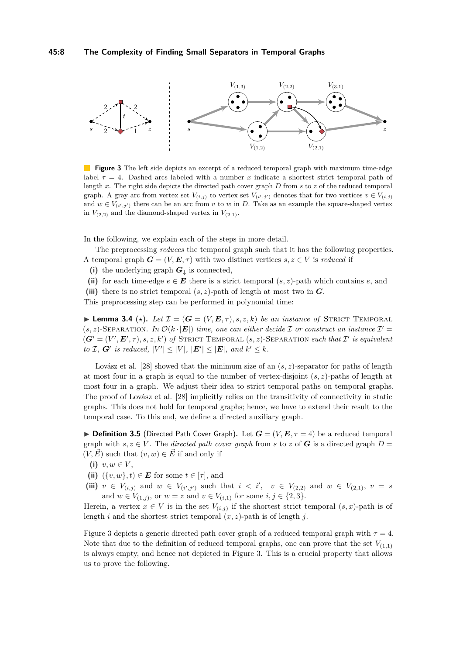<span id="page-7-0"></span>

**Figure 3** The left side depicts an excerpt of a reduced temporal graph with maximum time-edge label  $\tau = 4$ . Dashed arcs labeled with a number *x* indicate a shortest strict temporal path of length *x*. The right side depicts the directed path cover graph *D* from *s* to *z* of the reduced temporal graph. A gray arc from vertex set  $V_{(i,j)}$  to vertex set  $V_{(i',j')}$  denotes that for two vertices  $v \in V_{(i,j)}$ and  $w \in V_{(i',j')}$  there can be an arc from *v* to *w* in *D*. Take as an example the square-shaped vertex in  $V_{(2,2)}$  and the diamond-shaped vertex in  $V_{(2,1)}$ .

In the following, we explain each of the steps in more detail.

The preprocessing *reduces* the temporal graph such that it has the following properties. A temporal graph  $G = (V, E, \tau)$  with two distinct vertices  $s, z \in V$  is *reduced* if

- (i) the underlying graph  $G_{\perp}$  is connected,
- (ii) for each time-edge  $e \in E$  there is a strict temporal  $(s, z)$ -path which contains  $e$ , and
- (iii) there is no strict temporal  $(s, z)$ -path of length at most two in  $G$ .

<span id="page-7-1"></span>This preprocessing step can be performed in polynomial time:

**Lemma 3.4** ( $\star$ ). Let  $\mathcal{I} = (G = (V, E, \tau), s, z, k)$  be an instance of STRICT TEMPORAL  $(s, z)$ -SEPARATION. In  $\mathcal{O}(k \cdot |\mathbf{E}|)$  time, one can either decide  $\mathcal I$  or construct an instance  $\mathcal I' =$  $(G' = (V', E', \tau), s, z, k')$  of STRICT TEMPORAL  $(s, z)$ -SEPARATION *such that* I' is equivalent *to*  $I$ *,*  $G'$  *is reduced,*  $|V'| \leq |V|$ *,*  $|E'| \leq |E|$ *, and*  $k' \leq k$ *.* 

Lovász et al. [\[28\]](#page-15-9) showed that the minimum size of an  $(s, z)$ -separator for paths of length at most four in a graph is equal to the number of vertex-disjoint (*s, z*)-paths of length at most four in a graph. We adjust their idea to strict temporal paths on temporal graphs. The proof of Lovász et al. [\[28\]](#page-15-9) implicitly relies on the transitivity of connectivity in static graphs. This does not hold for temporal graphs; hence, we have to extend their result to the temporal case. To this end, we define a directed auxiliary graph.

**Definition 3.5** (Directed Path Cover Graph). Let  $G = (V, E, \tau = 4)$  be a reduced temporal graph with  $s, z \in V$ . The *directed path cover graph* from *s* to *z* of *G* is a directed graph  $D =$  $(V, \vec{E})$  such that  $(v, w) \in \vec{E}$  if and only if

- (i)  $v, w \in V$ ,
- (ii)  $({v, w}, t) \in E$  for some  $t \in [\tau]$ , and
- (iii)  $v \in V_{(i,j)}$  and  $w \in V_{(i',j')}$  such that  $i < i'$ ,  $v \in V_{(2,2)}$  and  $w \in V_{(2,1)}$ ,  $v = s$ and  $w \in V_{(1,j)}$ , or  $w = z$  and  $v \in V_{(i,1)}$  for some  $i, j \in \{2, 3\}.$

Herein, a vertex  $x \in V$  is in the set  $V_{(i,j)}$  if the shortest strict temporal  $(s, x)$ -path is of length *i* and the shortest strict temporal  $(x, z)$ -path is of length *j*.

<span id="page-7-2"></span>[Figure 3](#page-7-0) depicts a generic directed path cover graph of a reduced temporal graph with  $\tau = 4$ . Note that due to the definition of reduced temporal graphs, one can prove that the set  $V_{(1,1)}$ is always empty, and hence not depicted in [Figure 3.](#page-7-0) This is a crucial property that allows us to prove the following.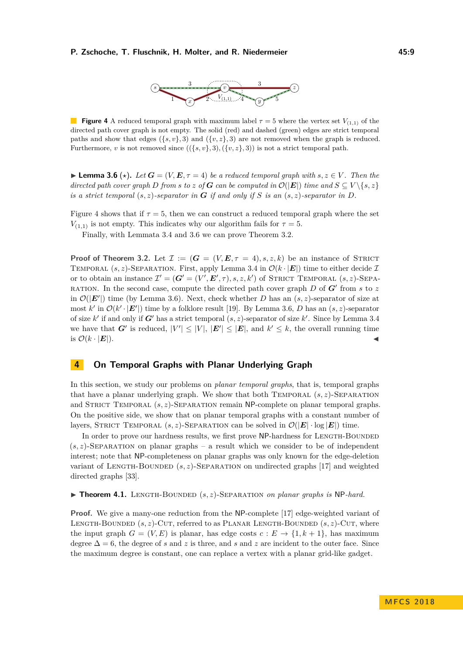

<span id="page-8-1"></span>**Figure 4** A reduced temporal graph with maximum label  $\tau = 5$  where the vertex set  $V_{(1,1)}$  of the directed path cover graph is not empty. The solid (red) and dashed (green) edges are strict temporal paths and show that edges  $({s, v}, 3)$  and  $({v, z}, 3)$  are not removed when the graph is reduced. Furthermore, *v* is not removed since  $((\{s, v\}, 3), (\{v, z\}, 3))$  is not a strict temporal path.

**► Lemma 3.6** ( $\star$ ). Let  $G = (V, E, \tau = 4)$  be a reduced temporal graph with  $s, z \in V$ . Then the *directed path cover graph D from s to z of G can be computed in*  $\mathcal{O}(|E|)$  *time and*  $S \subseteq V \setminus \{s, z\}$ *is a strict temporal*  $(s, z)$ *-separator in G if and only if S is an*  $(s, z)$ *-separator in D*.

[Figure 4](#page-8-1) shows that if  $\tau = 5$ , then we can construct a reduced temporal graph where the set *V*<sub>(1,1)</sub> is not empty. This indicates why our algorithm fails for  $\tau = 5$ .

Finally, with [Lemmata 3.4](#page-7-1) and [3.6](#page-7-2) we can prove [Theorem 3.2.](#page-6-0)

**Proof of [Theorem 3.2.](#page-6-0)** Let  $\mathcal{I} := (G = (V, E, \tau = 4), s, z, k)$  be an instance of STRICT TEMPORAL  $(s, z)$ -SEPARATION. First, apply [Lemma 3.4](#page-7-1) in  $\mathcal{O}(k \cdot |\mathbf{E}|)$  time to either decide I or to obtain an instance  $\mathcal{I}' = (\mathbf{G}' = (V', \mathbf{E}', \tau), s, z, k')$  of STRICT TEMPORAL  $(s, z)$ -SEPA-RATION. In the second case, compute the directed path cover graph  $D$  of  $G'$  from  $s$  to  $z$ in  $\mathcal{O}(|E'|)$  time (by [Lemma 3.6\)](#page-7-2). Next, check whether *D* has an  $(s, z)$ -separator of size at most  $k'$  in  $\mathcal{O}(k' \cdot |\mathbf{E}'|)$  time by a folklore result [\[19\]](#page-15-19). By [Lemma 3.6,](#page-7-2) *D* has an  $(s, z)$ -separator of size  $k'$  if and only if  $G'$  has a strict temporal  $(s, z)$ -separator of size  $k'$ . Since by [Lemma 3.4](#page-7-1) we have that *G*<sup> $\prime$ </sup> is reduced,  $|V'| \leq |V|$ ,  $|E'| \leq |E|$ , and  $k' \leq k$ , the overall running time is  $\mathcal{O}(k \cdot |\mathbf{E}|)$ .

### <span id="page-8-0"></span>**4 On Temporal Graphs with Planar Underlying Graph**

In this section, we study our problems on *planar temporal graphs*, that is, temporal graphs that have a planar underlying graph. We show that both TEMPORAL  $(s, z)$ -SEPARATION and STRICT TEMPORAL  $(s, z)$ -SEPARATION remain NP-complete on planar temporal graphs. On the positive side, we show that on planar temporal graphs with a constant number of layers, STRICT TEMPORAL  $(s, z)$ -SEPARATION can be solved in  $\mathcal{O}(|E| \cdot \log |E|)$  time.

In order to prove our hardness results, we first prove NP-hardness for Length-Bounded  $(s, z)$ -SEPARATION on planar graphs – a result which we consider to be of independent interest; note that NP-completeness on planar graphs was only known for the edge-deletion variant of LENGTH-BOUNDED  $(s, z)$ -SEPARATION on undirected graphs [\[17\]](#page-15-10) and weighted directed graphs [\[33\]](#page-16-5).

#### <span id="page-8-2"></span>▶ **Theorem 4.1.** LENGTH-BOUNDED (*s, z*)-SEPARATION *on planar graphs is* NP-hard.

**Proof.** We give a many-one reduction from the NP-complete [\[17\]](#page-15-10) edge-weighted variant of LENGTH-BOUNDED  $(s, z)$ -CUT, referred to as PLANAR LENGTH-BOUNDED  $(s, z)$ -CUT, where the input graph  $G = (V, E)$  is planar, has edge costs  $c : E \to \{1, k + 1\}$ , has maximum degree  $\Delta = 6$ , the degree of *s* and *z* is three, and *s* and *z* are incident to the outer face. Since the maximum degree is constant, one can replace a vertex with a planar grid-like gadget.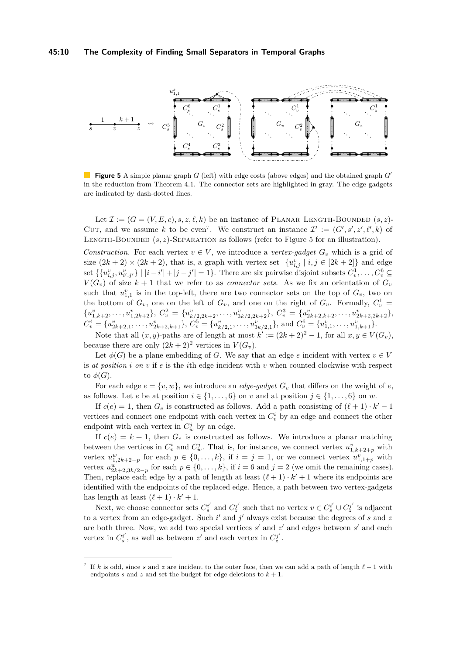#### **45:10 The Complexity of Finding Small Separators in Temporal Graphs**

<span id="page-9-1"></span>

**Figure 5** A simple planar graph *G* (left) with edge costs (above edges) and the obtained graph *G*<sup>'</sup> in the reduction from [Theorem 4.1.](#page-8-2) The connector sets are highlighted in gray. The edge-gadgets are indicated by dash-dotted lines.

Let  $\mathcal{I} := (G = (V, E, c), s, z, \ell, k)$  be an instance of PLANAR LENGTH-BOUNDED  $(s, z)$ -CUT, and we assume k to be even<sup>[7](#page-9-0)</sup>. We construct an instance  $\mathcal{I}' := (G', s', z', \ell', k)$  of LENGTH-BOUNDED  $(s, z)$ -SEPARATION as follows (refer to [Figure 5](#page-9-1) for an illustration).

*Construction.* For each vertex  $v \in V$ , we introduce a *vertex-gadget*  $G_v$  which is a grid of size  $(2k+2) \times (2k+2)$ , that is, a graph with vertex set  $\{u_{i,j}^v \mid i,j \in [2k+2]\}$  and edge set  $\{\{u_{i,j}^v, u_{i',j'}^v\} \mid |i-i'|+|j-j'|=1\}$ . There are six pairwise disjoint subsets  $C_v^1, \ldots, C_v^6 \subseteq$  $V(G_v)$  of size  $k+1$  that we refer to as *connector sets*. As we fix an orientation of  $G_v$ such that  $u_{1,1}^v$  is in the top-left, there are two connector sets on the top of  $G_v$ , two on the bottom of  $G_v$ , one on the left of  $G_v$ , and one on the right of  $G_v$ . Formally,  $C_v^1 =$  ${u_{1,k+2}^v, \ldots, u_{1,2k+2}^v}, C_v^2 = {u_{k/2,2k+2}^v, \ldots, u_{3k/2,2k+2}^v}, C_v^3 = {u_{2k+2,k+2}^v, \ldots, u_{2k+2,2k+2}^v},$  $C_v^4 = \{u_{2k+2,1}^v, \ldots, u_{2k+2,k+1}^v\}, C_v^5 = \{u_{k/2,1}^v, \ldots, u_{3k/2,1}^v\}$ , and  $C_v^6 = \{u_{1,1}^v, \ldots, u_{1,k+1}^v\}.$ 

Note that all  $(x, y)$ -paths are of length at most  $k' := (2k + 2)^2 - 1$ , for all  $x, y \in V(G_v)$ , because there are only  $(2k+2)^2$  vertices in  $V(G_v)$ .

Let  $\phi(G)$  be a plane embedding of *G*. We say that an edge *e* incident with vertex  $v \in V$ is *at position i on v* if *e* is the *i*th edge incident with *v* when counted clockwise with respect to  $\phi(G)$ .

For each edge  $e = \{v, w\}$ , we introduce an *edge-gadget*  $G_e$  that differs on the weight of  $e$ , as follows. Let *e* be at position  $i \in \{1, \ldots, 6\}$  on *v* and at position  $j \in \{1, \ldots, 6\}$  on *w*.

If  $c(e) = 1$ , then  $G_e$  is constructed as follows. Add a path consisting of  $(\ell + 1) \cdot k' - 1$ vertices and connect one endpoint with each vertex in  $C_v^i$  by an edge and connect the other endpoint with each vertex in  $C_w^j$  by an edge.

If  $c(e) = k + 1$ , then  $G_e$  is constructed as follows. We introduce a planar matching between the vertices in  $C_v^i$  and  $C_w^j$ . That is, for instance, we connect vertex  $u_{1,k+2+p}^v$  with vertex  $u_{1,2k+2-p}^w$  for each  $p \in \{0,\ldots,k\}$ , if  $i = j = 1$ , or we connect vertex  $u_{1,1+p}^v$  with vertex  $u_{2k+2,3k/2-p}^w$  for each  $p \in \{0,\ldots,k\}$ , if  $i=6$  and  $j=2$  (we omit the remaining cases). Then, replace each edge by a path of length at least  $(\ell + 1) \cdot k' + 1$  where its endpoints are identified with the endpoints of the replaced edge. Hence, a path between two vertex-gadgets has length at least  $(\ell + 1) \cdot k' + 1$ .

Next, we choose connector sets  $C_s^{i'}$  and  $C_z^{j'}$  such that no vertex  $v \in C_s^{i'} \cup C_z^{j'}$  is adjacent to a vertex from an edge-gadget. Such *i'* and *j'* always exist because the degrees of *s* and *z* are both three. Now, we add two special vertices *s'* and *z'* and edges between *s'* and each vertex in  $C_s^{i'}$ , as well as between  $z'$  and each vertex in  $C_z^{j'}$ .

<span id="page-9-0"></span><sup>7</sup> If k is odd, since s and z are incident to the outer face, then we can add a path of length  $\ell - 1$  with endpoints *s* and *z* and set the budget for edge deletions to  $k + 1$ .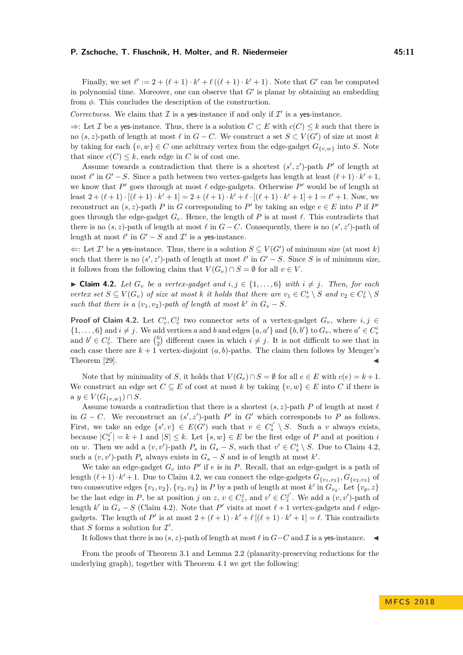Finally, we set  $\ell' := 2 + (\ell + 1) \cdot k' + \ell((\ell + 1) \cdot k' + 1)$ . Note that *G'* can be computed in polynomial time. Moreover, one can observe that  $G'$  is planar by obtaining an embedding from *φ*. This concludes the description of the construction.

*Correctness.* We claim that  $I$  is a yes-instance if and only if  $I'$  is a yes-instance.

⇒: Let I be a yes-instance. Thus, there is a solution *C* ⊂ *E* with *c*(*C*) ≤ *k* such that there is no  $(s, z)$ -path of length at most  $\ell$  in  $G - C$ . We construct a set  $S \subset V(G')$  of size at most  $k$ by taking for each  $\{v, w\} \in C$  one arbitrary vertex from the edge-gadget  $G_{\{v,w\}}$  into *S*. Note that since  $c(C) \leq k$ , each edge in *C* is of cost one.

Assume towards a contradiction that there is a shortest  $(s', z')$ -path  $P'$  of length at most  $\ell'$  in  $G' - S$ . Since a path between two vertex-gadgets has length at least  $(\ell + 1) \cdot k' + 1$ , we know that  $P'$  goes through at most  $\ell$  edge-gadgets. Otherwise  $P'$  would be of length at least  $2 + (\ell + 1) \cdot [(\ell + 1) \cdot k' + 1] = 2 + (\ell + 1) \cdot k' + \ell \cdot [(\ell + 1) \cdot k' + 1] + 1 = \ell' + 1$ . Now, we reconstruct an  $(s, z)$ -path *P* in *G* corresponding to *P*<sup> $\prime$ </sup> by taking an edge  $e \in E$  into *P* if *P*<sup> $\prime$ </sup> goes through the edge-gadget  $G_e$ . Hence, the length of P is at most  $\ell$ . This contradicts that there is no  $(s, z)$ -path of length at most  $\ell$  in  $G - C$ . Consequently, there is no  $(s', z')$ -path of length at most  $\ell'$  in  $G' - S$  and  $\mathcal{I}'$  is a yes-instance.

 $\Leftarrow$ : Let *I*' be a yes-instance. Thus, there is a solution *S* ⊆ *V*(*G*') of minimum size (at most *k*) such that there is no  $(s', z')$ -path of length at most  $\ell'$  in  $G' - S$ . Since *S* is of minimum size, it follows from the following claim that  $V(G_v) \cap S = \emptyset$  for all  $v \in V$ .

<span id="page-10-1"></span>▶ **Claim 4.2.** *Let*  $G_v$  *be a vertex-gadget and*  $i, j \in \{1, \ldots, 6\}$  *with*  $i \neq j$ *. Then, for each* vertex set  $S \subseteq V(G_v)$  of size at most k it holds that there are  $v_1 \in C_v^i \setminus S$  and  $v_2 \in C_v^j \setminus S$ *such that there is a*  $(v_1, v_2)$ -path of length at most  $k'$  in  $G_v - S$ .

**Proof of [Claim 4.2.](#page-10-1)** Let  $C_v^i, C_v^j$  two connector sets of a vertex-gadget  $G_v$ , where  $i, j \in$  $\{1, \ldots, 6\}$  and  $i \neq j$ . We add vertices *a* and *b* and edges  $\{a, a'\}$  and  $\{b, b'\}$  to  $G_v$ , where  $a' \in C_v^i$ and  $b' \in C_v^j$ . There are  $\binom{6}{2}$  different cases in which  $i \neq j$ . It is not difficult to see that in each case there are  $k + 1$  vertex-disjoint  $(a, b)$ -paths. The claim then follows by Menger's Theorem [\[29\]](#page-15-12).

Note that by minimality of *S*, it holds that  $V(G_e) \cap S = \emptyset$  for all  $e \in E$  with  $c(e) = k + 1$ . We construct an edge set  $C \subseteq E$  of cost at most  $k$  by taking  $\{v, w\} \in E$  into  $C$  if there is  $a \ y \in V(G_{\{y,y\}}) \cap S.$ 

Assume towards a contradiction that there is a shortest  $(s, z)$ -path *P* of length at most  $\ell$ in  $G - C$ . We reconstruct an  $(s', z')$ -path  $P'$  in  $G'$  which corresponds to  $P$  as follows. First, we take an edge  $\{s', v\} \in E(G')$  such that  $v \in C_s^{i'} \setminus S$ . Such a *v* always exists, because  $|C_s^{i'}| = k + 1$  and  $|S| \leq k$ . Let  $\{s, w\} \in E$  be the first edge of *P* and at position *i* on *w*. Then we add a  $(v, v')$ -path  $P_s$  in  $G_s - S$ , such that  $v' \in C_s^i \setminus S$ . Due to [Claim 4.2,](#page-10-1) such a  $(v, v')$ -path  $P_s$  always exists in  $G_s - S$  and is of length at most  $k'$ .

We take an edge-gadget  $G_e$  into  $P'$  if  $e$  is in  $P$ . Recall, that an edge-gadget is a path of length  $(\ell + 1) \cdot k' + 1$ . Due to [Claim 4.2,](#page-10-1) we can connect the edge-gadgets  $G_{\{v_1, v_2\}}$ ,  $G_{\{v_2, v_3\}}$  of two consecutive edges  $\{v_1, v_2\}$ ,  $\{v_2, v_3\}$  in *P* by a path of length at most  $k'$  in  $G_{v_2}$ . Let  $\{v_p, z\}$ be the last edge in *P*, be at position *j* on *z*,  $v \in C_z^j$ , and  $v' \in C_z^{j'}$ . We add a  $(v, v')$ -path of length  $k'$  in  $G_z - S$  [\(Claim 4.2\)](#page-10-1). Note that  $P'$  visits at most  $\ell + 1$  vertex-gadgets and  $\ell$  edgegadgets. The length of *P*<sup> $\prime$ </sup> is at most  $2 + (\ell + 1) \cdot k' + \ell [(\ell + 1) \cdot k' + 1] = \ell$ . This contradicts that  $S$  forms a solution for  $\mathcal{I}'$ .

It follows that there is no  $(s, z)$ -path of length at most  $\ell$  in  $G-C$  and  $\mathcal I$  is a yes-instance.  $\blacktriangleleft$ 

<span id="page-10-0"></span>From the proofs of [Theorem 3.1](#page-5-0) and [Lemma 2.2](#page-5-2) (planarity-preserving reductions for the underlying graph), together with [Theorem 4.1](#page-8-2) we get the following: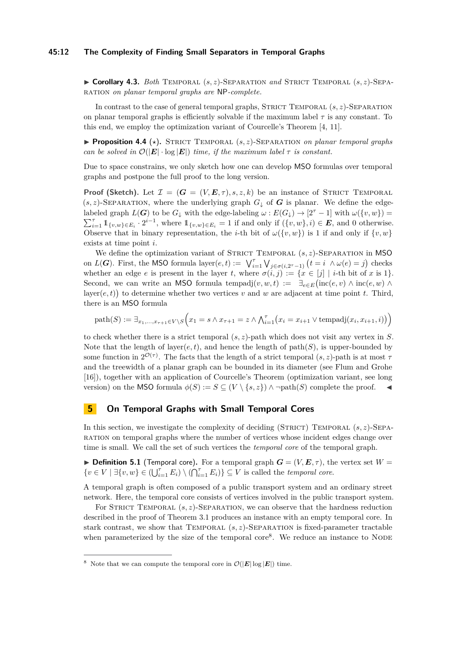#### **45:12 The Complexity of Finding Small Separators in Temporal Graphs**

I **Corollary 4.3.** *Both* Temporal (*s, z*)-Separation *and* Strict Temporal (*s, z*)-Separation *on planar temporal graphs are* NP*-complete.*

In contrast to the case of general temporal graphs, STRICT TEMPORAL  $(s, z)$ -SEPARATION on planar temporal graphs is efficiently solvable if the maximum label *τ* is any constant. To this end, we employ the optimization variant of Courcelle's Theorem [\[4,](#page-14-9) [11\]](#page-14-10).

<span id="page-11-0"></span> $\blacktriangleright$  **Proposition 4.4** ( $\star$ ). STRICT TEMPORAL  $(s, z)$ -SEPARATION *on planar temporal graphs can be solved in*  $\mathcal{O}(|E| \cdot \log |E|)$  *time, if the maximum label*  $\tau$  *is constant.* 

Due to space constrains, we only sketch how one can develop MSO formulas over temporal graphs and postpone the full proof to the long version.

**Proof (Sketch).** Let  $\mathcal{I} = (G = (V, E, \tau), s, z, k)$  be an instance of STRICT TEMPORAL  $(s, z)$ -SEPARATION, where the underlying graph  $G_{\downarrow}$  of G is planar. We define the edgelabeled graph  $L(G)$  to be  $G_{\downarrow}$  with the edge-labeling  $\omega : E(G_{\downarrow}) \to [2^{\tau} - 1]$  with  $\omega(\lbrace v, w \rbrace) =$  $\sum_{i=1}^{\tau} \mathbb{1}_{\{v,w\} \in E_i} \cdot 2^{i-1}$ , where  $\mathbb{1}_{\{v,w\} \in E_i} = 1$  if and only if  $(\{v,w\}, i) \in E$ , and 0 otherwise. Observe that in binary representation, the *i*-th bit of  $\omega({v,w})$  is 1 if and only if  ${v,w}$ exists at time point *i*.

We define the optimization variant of STRICT TEMPORAL  $(s, z)$ -SEPARATION in MSO on *L*(*G*). First, the MSO formula layer $(e, t) := \bigvee_{i=1}^{7} \bigvee_{j \in \sigma(i, 2^{\tau}-1)} (t = i \land \omega(e) = j)$  checks whether an edge *e* is present in the layer *t*, where  $\sigma(i, j) := \{x \in [j] \mid i$ -th bit of *x* is 1}. Second, we can write an MSO formula tempadj $(v, w, t) := \exists_{e \in E} (\text{inc}(e, v) \land \text{inc}(e, w) \land$ layer $(e, t)$  to determine whether two vertices *v* and *w* are adjacent at time point *t*. Third, there is an MSO formula

 $\text{path}(S) := \exists_{x_1,\ldots,x_{\tau+1} \in V \setminus S} \Big(x_1 = s \land x_{\tau+1} = z \land \bigwedge_{i=1}^{\tau} \big(x_i = x_{i+1} \lor \text{tempadj}(x_i,x_{i+1},i)\big)\Big)$ 

to check whether there is a strict temporal (*s, z*)-path which does not visit any vertex in *S*. Note that the length of layer $(e, t)$ , and hence the length of path $(S)$ , is upper-bounded by some function in  $2^{\mathcal{O}(\tau)}$ . The facts that the length of a strict temporal  $(s, z)$ -path is at most *τ* and the treewidth of a planar graph can be bounded in its diameter (see Flum and Grohe [\[16\]](#page-15-20)), together with an application of Courcelle's Theorem (optimization variant, see long version) on the MSO formula  $\phi(S) := S \subseteq (V \setminus \{s, z\}) \land \neg \text{path}(S)$  complete the proof.

# <span id="page-11-1"></span>**5 On Temporal Graphs with Small Temporal Cores**

In this section, we investigate the complexity of deciding (STRICT) TEMPORAL  $(s, z)$ -SEPAration on temporal graphs where the number of vertices whose incident edges change over time is small. We call the set of such vertices the *temporal core* of the temporal graph.

**Definition 5.1** (Temporal core). For a temporal graph  $G = (V, E, \tau)$ , the vertex set  $W =$  $\{v \in V \mid \exists \{v, w\} \in (\bigcup_{i=1}^{\tau} E_i) \setminus (\bigcap_{i=1}^{\tau} E_i)\} \subseteq V$  is called the *temporal core*.

A temporal graph is often composed of a public transport system and an ordinary street network. Here, the temporal core consists of vertices involved in the public transport system.

For STRICT TEMPORAL  $(s, z)$ -SEPARATION, we can observe that the hardness reduction described in the proof of [Theorem 3.1](#page-5-0) produces an instance with an empty temporal core. In stark contrast, we show that TEMPORAL  $(s, z)$ -SEPARATION is fixed-parameter tractable when parameterized by the size of the temporal  $\text{core}^8$  $\text{core}^8$ . We reduce an instance to NODE

<span id="page-11-2"></span><sup>&</sup>lt;sup>8</sup> Note that we can compute the temporal core in  $\mathcal{O}(|E| \log |E|)$  time.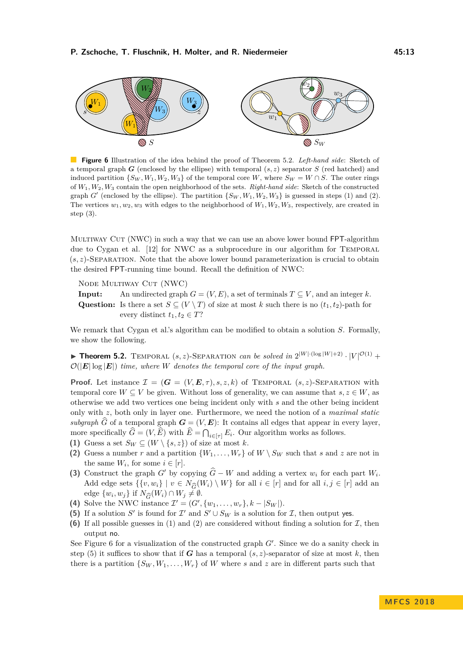<span id="page-12-4"></span>

**Figure 6** Illustration of the idea behind the proof of [Theorem 5.2.](#page-12-0) *Left-hand side*: Sketch of a temporal graph *G* (enclosed by the ellipse) with temporal (*s, z*) separator *S* (red hatched) and induced partition  $\{S_W, W_1, W_2, W_3\}$  of the temporal core *W*, where  $S_W = W \cap S$ . The outer rings of *W*1*, W*2*, W*<sup>3</sup> contain the open neighborhood of the sets. *Right-hand side*: Sketch of the constructed graph  $G'$  (enclosed by the ellipse). The partition  $\{S_W, W_1, W_2, W_3\}$  is guessed in steps [\(1\)](#page-12-1) and [\(2\).](#page-12-2) The vertices  $w_1, w_2, w_3$  with edges to the neighborhood of  $W_1, W_2, W_3$ , respectively, are created in step [\(3\).](#page-12-3)

MULTIWAY CUT (NWC) in such a way that we can use an above lower bound FPT-algorithm due to Cygan et al. [\[12\]](#page-15-11) for NWC as a subprocedure in our algorithm for Temporal  $(s, z)$ -SEPARATION. Note that the above lower bound parameterization is crucial to obtain the desired FPT-running time bound. Recall the definition of NWC:

Node Multiway Cut (NWC)

**Input:** An undirected graph  $G = (V, E)$ , a set of terminals  $T \subseteq V$ , and an integer k. Question: Is there a set  $S \subseteq (V \setminus T)$  of size at most *k* such there is no  $(t_1, t_2)$ -path for every distinct  $t_1, t_2 \in T$ ?

We remark that Cygan et al.'s algorithm can be modified to obtain a solution *S*. Formally, we show the following.

<span id="page-12-0"></span>**Theorem 5.2.** TEMPORAL  $(s, z)$ -SEPARATION *can be solved in*  $2^{|W| \cdot (\log |W| + 2)} \cdot |V|^{\mathcal{O}(1)}$  +  $\mathcal{O}(|E| \log |E|)$  *time, where W denotes the temporal core of the input graph.* 

**Proof.** Let instance  $\mathcal{I} = (G = (V, E, \tau), s, z, k)$  of TEMPORAL  $(s, z)$ -SEPARATION with temporal core  $W \subseteq V$  be given. Without loss of generality, we can assume that  $s, z \in W$ , as otherwise we add two vertices one being incident only with *s* and the other being incident only with *z*, both only in layer one. Furthermore, we need the notion of a *maximal static subgraph*  $\widehat{G}$  of a temporal graph  $G = (V, E)$ : It contains all edges that appear in every layer, more specifically  $G = (V, E)$  with  $E = \bigcap_{i \in [\tau]} E_i$ . Our algorithm works as follows.

- <span id="page-12-1"></span>**(1)** Guess a set  $S_W \subseteq (W \setminus \{s, z\})$  of size at most *k*.
- <span id="page-12-2"></span>(2) Guess a number *r* and a partition  $\{W_1, \ldots, W_r\}$  of  $W \setminus S_W$  such that *s* and *z* are not in the same  $W_i$ , for some  $i \in [r]$ .
- <span id="page-12-3"></span>**(3)** Construct the graph *G*<sup> $\prime$ </sup> by copying  $\widehat{G} - W$  and adding a vertex  $w_i$  for each part  $W_i$ . Add edge sets  $\{v, w_i\} \mid v \in N_G(W_i) \setminus W\}$  for all  $i \in [r]$  and for all  $i, j \in [r]$  add an edge  $\{w_i, w_i\}$  if  $N_G(W_i) \cap W_i \neq \emptyset$ . edge  $\{w_i, w_j\}$  if  $N_{\widehat{G}}(W_i) \cap W_j \neq \emptyset$ .<br>Solve the NWC instance  $\mathcal{I}' = (G'.$
- <span id="page-12-6"></span>**(4)** Solve the NWC instance  $\mathcal{I}' = (G', \{w_1, \ldots, w_r\}, k - |S_W|).$
- <span id="page-12-5"></span>(5) If a solution *S'* is found for  $\mathcal{I}'$  and  $S' \cup S_W$  is a solution for  $\mathcal{I}$ , then output yes.
- (6) If all possible guesses in [\(1\)](#page-12-1) and [\(2\)](#page-12-2) are considered without finding a solution for  $\mathcal{I}$ , then output no.

See [Figure 6](#page-12-4) for a visualization of the constructed graph  $G'$ . Since we do a sanity check in step [\(5\)](#page-12-5) it suffices to show that if *G* has a temporal  $(s, z)$ -separator of size at most *k*, then there is a partition  $\{S_W, W_1, \ldots, W_r\}$  of *W* where *s* and *z* are in different parts such that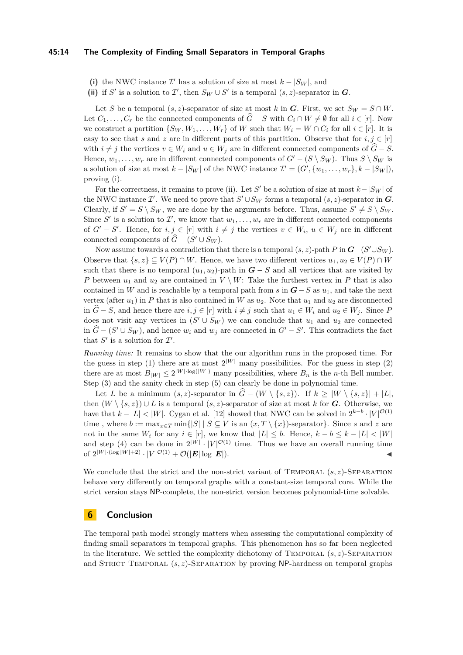#### **45:14 The Complexity of Finding Small Separators in Temporal Graphs**

<span id="page-13-0"></span>(i) the NWC instance  $\mathcal{I}'$  has a solution of size at most  $k - |S_W|$ , and

<span id="page-13-1"></span>(ii) if *S*<sup> $\prime$ </sup> is a solution to  $\mathcal{I}'$ , then  $S_W \cup S'$  is a temporal  $(s, z)$ -separator in *G*.

Let *S* be a temporal  $(s, z)$ -separator of size at most *k* in *G*. First, we set  $S_W = S \cap W$ . Let  $C_1, \ldots, C_r$  be the connected components of  $G - S$  with  $C_i \cap W \neq \emptyset$  for all  $i \in [r]$ . Now we construct a partition  $\{S_W, W_1, \ldots, W_r\}$  of *W* such that  $W_i = W \cap C_i$  for all  $i \in [r]$ . It is easy to see that *s* and *z* are in different parts of this partition. Observe that for  $i, j \in [r]$ with  $i \neq j$  the vertices  $v \in W_i$  and  $u \in W_j$  are in different connected components of  $\hat{G} - S$ . Hence,  $w_1, \ldots, w_r$  are in different connected components of  $G' - (S \setminus S_W)$ . Thus  $S \setminus S_W$  is a solution of size at most  $k - |S_W|$  of the NWC instance  $\mathcal{I}' = (G', \{w_1, \ldots, w_r\}, k - |S_W|)$ , proving [\(i\).](#page-13-0)

For the correctness, it remains to prove [\(ii\).](#page-13-1) Let *S*<sup>*'*</sup> be a solution of size at most  $k - |S_W|$  of the NWC instance  $\mathcal{I}'$ . We need to prove that  $S' \cup S_W$  forms a temporal  $(s, z)$ -separator in  $\mathbf{G}$ . Clearly, if  $S' = S \setminus S_W$ , we are done by the arguments before. Thus, assume  $S' \neq S \setminus S_W$ . Since S' is a solution to  $\mathcal{I}'$ , we know that  $w_1, \ldots, w_r$  are in different connected components of  $G' - S'$ . Hence, for  $i, j \in [r]$  with  $i \neq j$  the vertices  $v \in W_i$ ,  $u \in W_j$  are in different connected components of  $\hat{G} - (S' \cup S_W)$ .

Now assume towards a contradiction that there is a temporal  $(s, z)$ -path  $P$  in  $G-(S' \cup S_W)$ . Observe that  $\{s, z\} \subseteq V(P) \cap W$ . Hence, we have two different vertices  $u_1, u_2 \in V(P) \cap W$ such that there is no temporal  $(u_1, u_2)$ -path in  $G - S$  and all vertices that are visited by *P* between  $u_1$  and  $u_2$  are contained in  $V \setminus W$ : Take the furthest vertex in *P* that is also contained in *W* and is reachable by a temporal path from *s* in  $G-S$  as  $u_1$ , and take the next vertex (after  $u_1$ ) in *P* that is also contained in *W* as  $u_2$ . Note that  $u_1$  and  $u_2$  are disconnected in  $\hat{G}$  − *S*, and hence there are  $i, j \in [r]$  with  $i \neq j$  such that  $u_1 \in W_i$  and  $u_2 \in W_j$ . Since *P* does not visit any vertices in  $(S' \cup S_W)$  we can conclude that  $u_1$  and  $u_2$  are connected in  $\hat{G} - (S' \cup S_W)$ , and hence  $w_i$  and  $w_j$  are connected in  $G' - S'$ . This contradicts the fact that  $S'$  is a solution for  $\mathcal{I}'$ .

*Running time:* It remains to show that the our algorithm runs in the proposed time. For the guess in step [\(1\)](#page-12-1) there are at most  $2^{|W|}$  many possibilities. For the guess in step [\(2\)](#page-12-2) there are at most  $B_{|W|} \leq 2^{|W| \cdot \log(|W|)}$  many possibilities, where  $B_n$  is the *n*-th Bell number. Step [\(3\)](#page-12-3) and the sanity check in step [\(5\)](#page-12-5) can clearly be done in polynomial time.

Let *L* be a minimum  $(s, z)$ -separator in  $\tilde{G} - (W \setminus \{s, z\})$ . If  $k \geq |W \setminus \{s, z\}| + |L|$ , then  $(W \setminus \{s, z\}) \cup L$  is a temporal  $(s, z)$ -separator of size at most *k* for *G*. Otherwise, we have that  $k - |L| < |W|$ . Cygan et al. [\[12\]](#page-15-11) showed that NWC can be solved in  $2^{k-b} \cdot |V|^{\mathcal{O}(1)}$ time, where  $b := \max_{x \in T} \min\{|S| | S \subseteq V \text{ is an } (x, T \setminus \{x\})\text{-separation}\}\)$ . Since *s* and *z* are not in the same  $W_i$  for any  $i \in [r]$ , we know that  $|L| \leq b$ . Hence,  $k - b \leq k - |L| \leq |W|$ and step [\(4\)](#page-12-6) can be done in  $2^{|W|} \cdot |V|^{\mathcal{O}(1)}$  time. Thus we have an overall running time of  $2^{|W| \cdot (\log |W| + 2)} \cdot |V|^{\mathcal{O}(1)} + \mathcal{O}(|E| \log |E|).$ 

We conclude that the strict and the non-strict variant of TEMPORAL  $(s, z)$ -SEPARATION behave very differently on temporal graphs with a constant-size temporal core. While the strict version stays NP-complete, the non-strict version becomes polynomial-time solvable.

## **6 Conclusion**

The temporal path model strongly matters when assessing the computational complexity of finding small separators in temporal graphs. This phenomenon has so far been neglected in the literature. We settled the complexity dichotomy of TEMPORAL  $(s, z)$ -SEPARATION and STRICT TEMPORAL  $(s, z)$ -SEPARATION by proving NP-hardness on temporal graphs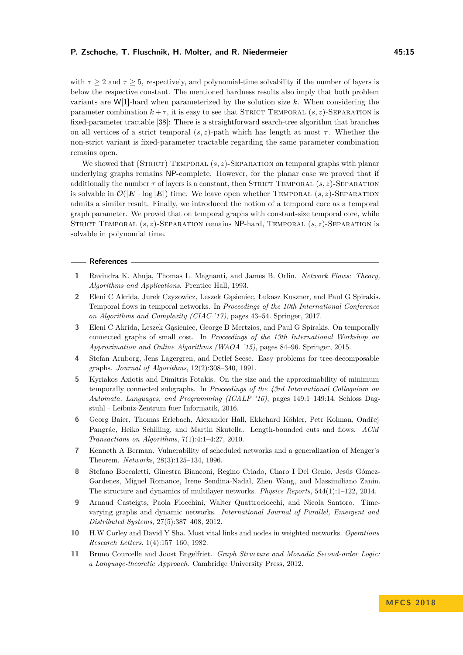with  $\tau \geq 2$  and  $\tau \geq 5$ , respectively, and polynomial-time solvability if the number of layers is below the respective constant. The mentioned hardness results also imply that both problem variants are W[1]-hard when parameterized by the solution size *k*. When considering the parameter combination  $k + \tau$ , it is easy to see that STRICT TEMPORAL  $(s, z)$ -SEPARATION is fixed-parameter tractable [\[38\]](#page-16-6): There is a straightforward search-tree algorithm that branches on all vertices of a strict temporal  $(s, z)$ -path which has length at most  $\tau$ . Whether the non-strict variant is fixed-parameter tractable regarding the same parameter combination remains open.

We showed that (STRICT) TEMPORAL (*s*, *z*)-SEPARATION on temporal graphs with planar underlying graphs remains NP-complete. However, for the planar case we proved that if additionally the number  $\tau$  of layers is a constant, then STRICT TEMPORAL  $(s, z)$ -SEPARATION is solvable in  $\mathcal{O}(|E| \cdot \log |E|)$  time. We leave open whether TEMPORAL  $(s, z)$ -SEPARATION admits a similar result. Finally, we introduced the notion of a temporal core as a temporal graph parameter. We proved that on temporal graphs with constant-size temporal core, while Strict Temporal (*s, z*)-Separation remains NP-hard, Temporal (*s, z*)-Separation is solvable in polynomial time.

#### **References**

- <span id="page-14-0"></span>**1** Ravindra K. Ahuja, Thomas L. Magnanti, and James B. Orlin. *Network Flows: Theory, Algorithms and Applications*. Prentice Hall, 1993.
- <span id="page-14-5"></span>**2** Eleni C Akrida, Jurek Czyzowicz, Leszek Gąsieniec, Łukasz Kuszner, and Paul G Spirakis. Temporal flows in temporal networks. In *Proceedings of the 10th International Conference on Algorithms and Complexity (CIAC '17)*, pages 43–54. Springer, 2017.
- <span id="page-14-3"></span>**3** Eleni C Akrida, Leszek Gąsieniec, George B Mertzios, and Paul G Spirakis. On temporally connected graphs of small cost. In *Proceedings of the 13th International Workshop on Approximation and Online Algorithms (WAOA '15)*, pages 84–96. Springer, 2015.
- <span id="page-14-9"></span>**4** Stefan Arnborg, Jens Lagergren, and Detlef Seese. Easy problems for tree-decomposable graphs. *Journal of Algorithms*, 12(2):308–340, 1991.
- <span id="page-14-4"></span>**5** Kyriakos Axiotis and Dimitris Fotakis. On the size and the approximability of minimum temporally connected subgraphs. In *Proceedings of the 43rd International Colloquium on Automata, Languages, and Programming (ICALP '16)*, pages 149:1–149:14. Schloss Dagstuhl - Leibniz-Zentrum fuer Informatik, 2016.
- <span id="page-14-8"></span>**6** Georg Baier, Thomas Erlebach, Alexander Hall, Ekkehard Köhler, Petr Kolman, Ondřej Pangrác, Heiko Schilling, and Martin Skutella. Length-bounded cuts and flows. *ACM Transactions on Algorithms*, 7(1):4:1–4:27, 2010.
- <span id="page-14-2"></span>**7** Kenneth A Berman. Vulnerability of scheduled networks and a generalization of Menger's Theorem. *Networks*, 28(3):125–134, 1996.
- <span id="page-14-1"></span>**8** Stefano Boccaletti, Ginestra Bianconi, Regino Criado, Charo I Del Genio, Jesús Gómez-Gardenes, Miguel Romance, Irene Sendina-Nadal, Zhen Wang, and Massimiliano Zanin. The structure and dynamics of multilayer networks. *Physics Reports*, 544(1):1–122, 2014.
- <span id="page-14-6"></span>**9** Arnaud Casteigts, Paola Flocchini, Walter Quattrociocchi, and Nicola Santoro. Timevarying graphs and dynamic networks. *International Journal of Parallel, Emergent and Distributed Systems*, 27(5):387–408, 2012.
- <span id="page-14-7"></span>**10** H.W Corley and David Y Sha. Most vital links and nodes in weighted networks. *Operations Research Letters*, 1(4):157–160, 1982.
- <span id="page-14-10"></span>**11** Bruno Courcelle and Joost Engelfriet. *Graph Structure and Monadic Second-order Logic: a Language-theoretic Approach*. Cambridge University Press, 2012.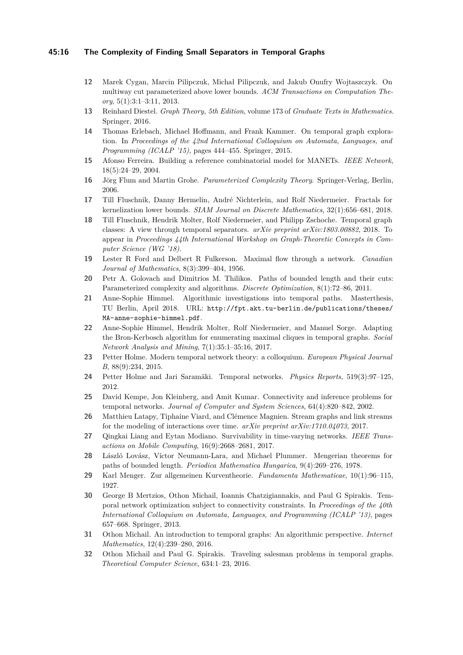#### **45:16 The Complexity of Finding Small Separators in Temporal Graphs**

- <span id="page-15-11"></span>**12** Marek Cygan, Marcin Pilipczuk, Michał Pilipczuk, and Jakub Onufry Wojtaszczyk. On multiway cut parameterized above lower bounds. *ACM Transactions on Computation Theory*, 5(1):3:1–3:11, 2013.
- <span id="page-15-16"></span>**13** Reinhard Diestel. *Graph Theory, 5th Edition*, volume 173 of *Graduate Texts in Mathematics*. Springer, 2016.
- <span id="page-15-14"></span>**14** Thomas Erlebach, Michael Hoffmann, and Frank Kammer. On temporal graph exploration. In *Proceedings of the 42nd International Colloquium on Automata, Languages, and Programming (ICALP '15)*, pages 444–455. Springer, 2015.
- <span id="page-15-2"></span>**15** Afonso Ferreira. Building a reference combinatorial model for MANETs. *IEEE Network*, 18(5):24–29, 2004.
- <span id="page-15-20"></span>**16** Jörg Flum and Martin Grohe. *Parameterized Complexity Theory*. Springer-Verlag, Berlin, 2006.
- <span id="page-15-10"></span>**17** Till Fluschnik, Danny Hermelin, André Nichterlein, and Rolf Niedermeier. Fractals for kernelization lower bounds. *SIAM Journal on Discrete Mathematics*, 32(1):656–681, 2018.
- <span id="page-15-15"></span>**18** Till Fluschnik, Hendrik Molter, Rolf Niedermeier, and Philipp Zschoche. Temporal graph classes: A view through temporal separators. *arXiv preprint arXiv:1803.00882*, 2018. To appear in *Proceedings 44th International Workshop on Graph-Theoretic Concepts in Computer Science (WG '18)*.
- <span id="page-15-19"></span>**19** Lester R Ford and Delbert R Fulkerson. Maximal flow through a network. *Canadian Journal of Mathematics*, 8(3):399–404, 1956.
- <span id="page-15-18"></span>**20** Petr A. Golovach and Dimitrios M. Thilikos. Paths of bounded length and their cuts: Parameterized complexity and algorithms. *Discrete Optimization*, 8(1):72–86, 2011.
- <span id="page-15-8"></span>**21** Anne-Sophie Himmel. Algorithmic investigations into temporal paths. Masterthesis, TU Berlin, April 2018. URL: [http://fpt.akt.tu-berlin.de/publications/theses/](http://fpt.akt.tu-berlin.de/publications/theses/MA-anne- sophie-himmel.pdf) [MA-anne-sophie-himmel.pdf](http://fpt.akt.tu-berlin.de/publications/theses/MA-anne- sophie-himmel.pdf).
- <span id="page-15-6"></span>**22** Anne-Sophie Himmel, Hendrik Molter, Rolf Niedermeier, and Manuel Sorge. Adapting the Bron-Kerbosch algorithm for enumerating maximal cliques in temporal graphs. *Social Network Analysis and Mining*, 7(1):35:1–35:16, 2017.
- <span id="page-15-17"></span>**23** Petter Holme. Modern temporal network theory: a colloquium. *European Physical Journal B*, 88(9):234, 2015.
- <span id="page-15-3"></span>**24** Petter Holme and Jari Saramäki. Temporal networks. *Physics Reports*, 519(3):97–125, 2012.
- <span id="page-15-0"></span>**25** David Kempe, Jon Kleinberg, and Amit Kumar. Connectivity and inference problems for temporal networks. *Journal of Computer and System Sciences*, 64(4):820–842, 2002.
- <span id="page-15-5"></span>**26** Matthieu Latapy, Tiphaine Viard, and Clémence Magnien. Stream graphs and link streams for the modeling of interactions over time. *arXiv preprint arXiv:1710.04073*, 2017.
- <span id="page-15-1"></span>**27** Qingkai Liang and Eytan Modiano. Survivability in time-varying networks. *IEEE Transactions on Mobile Computing*, 16(9):2668–2681, 2017.
- <span id="page-15-9"></span>**28** László Lovász, Víctor Neumann-Lara, and Michael Plummer. Mengerian theorems for paths of bounded length. *Periodica Mathematica Hungarica*, 9(4):269–276, 1978.
- <span id="page-15-12"></span>**29** Karl Menger. Zur allgemeinen Kurventheorie. *Fundamenta Mathematicae*, 10(1):96–115, 1927.
- <span id="page-15-4"></span>**30** George B Mertzios, Othon Michail, Ioannis Chatzigiannakis, and Paul G Spirakis. Temporal network optimization subject to connectivity constraints. In *Proceedings of the 40th International Colloquium on Automata, Languages, and Programming (ICALP '13)*, pages 657–668. Springer, 2013.
- <span id="page-15-7"></span>**31** Othon Michail. An introduction to temporal graphs: An algorithmic perspective. *Internet Mathematics*, 12(4):239–280, 2016.
- <span id="page-15-13"></span>**32** Othon Michail and Paul G. Spirakis. Traveling salesman problems in temporal graphs. *Theoretical Computer Science*, 634:1–23, 2016.